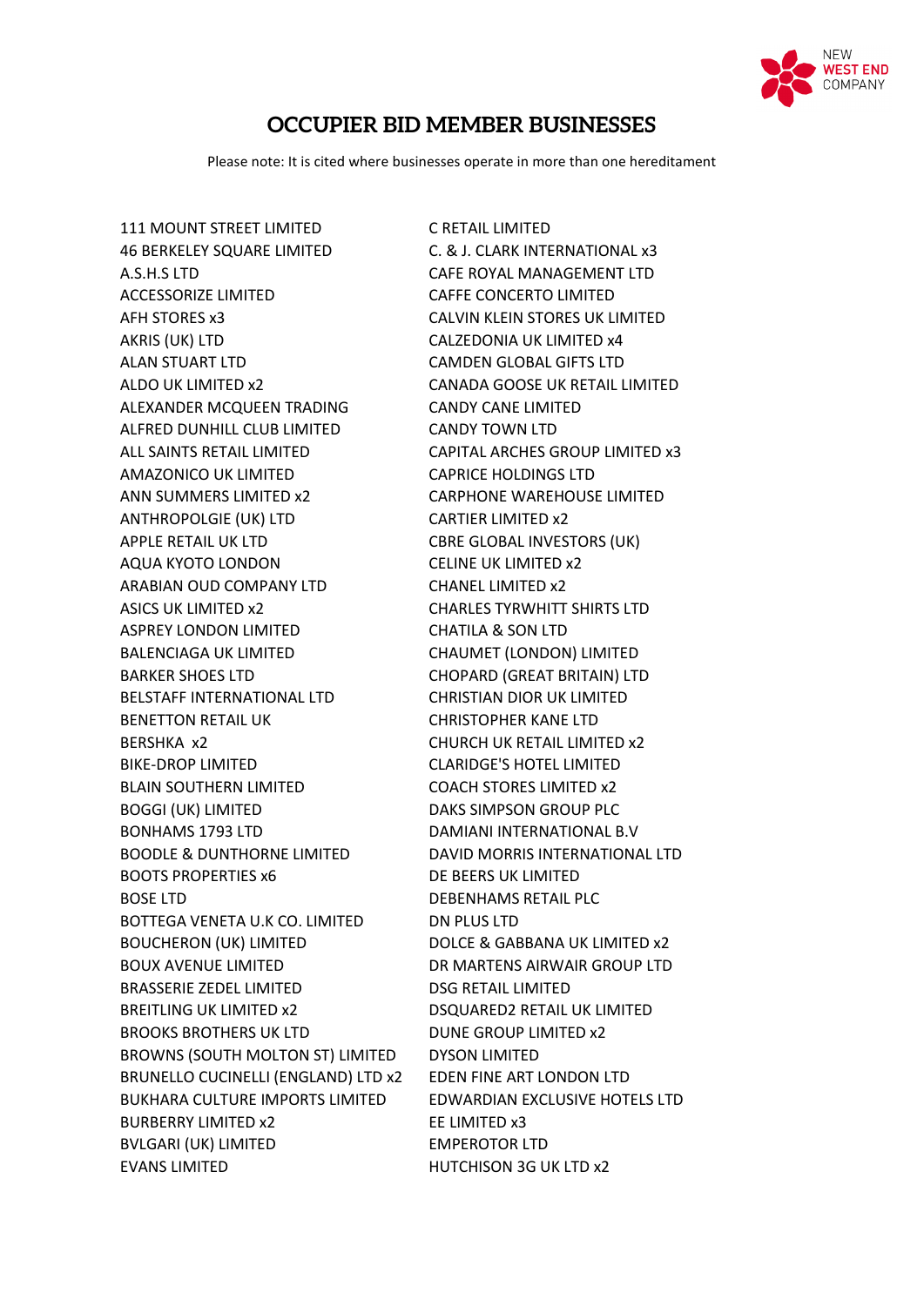

## **OCCUPIER BID MEMBER BUSINESSES**

Please note: It is cited where businesses operate in more than one hereditament

111 MOUNT STREET LIMITED C RETAIL LIMITED 46 BERKELEY SQUARE LIMITED C. & J. CLARK INTERNATIONAL x3 A.S.H.S LTD CAFE ROYAL MANAGEMENT LTD ACCESSORIZE LIMITED CAFFE CONCERTO LIMITED AFH STORES x3 CALVIN KLEIN STORES UK LIMITED AKRIS (UK) LTD CALZEDONIA UK LIMITED x4 ALAN STUART LTD CAMDEN GLOBAL GIFTS LTD ALDO UK LIMITED x2 CANADA GOOSE UK RETAIL LIMITED ALEXANDER MCQUEEN TRADING CANDY CANE LIMITED ALFRED DUNHILL CLUB LIMITED CANDY TOWN LTD ALL SAINTS RETAIL LIMITED CAPITAL ARCHES GROUP LIMITED x3 AMAZONICO UK LIMITED CAPRICE HOLDINGS LTD ANN SUMMERS LIMITED x2 CARPHONE WAREHOUSE LIMITED ANTHROPOLGIE (UK) LTD CARTIER LIMITED x2 APPLE RETAIL UK LTD CBRE GLOBAL INVESTORS (UK) AQUA KYOTO LONDON CELINE UK LIMITED x2 ARABIAN OUD COMPANY LTD CHANEL LIMITED x2 ASICS UK LIMITED x2 CHARLES TYRWHITT SHIRTS LTD ASPREY LONDON LIMITED CHATILA & SON LTD BALENCIAGA UK LIMITED CHAUMET (LONDON) LIMITED BARKER SHOES LTD CHOPARD (GREAT BRITAIN) LTD BELSTAFF INTERNATIONAL LTD CHRISTIAN DIOR UK LIMITED BENETTON RETAIL UK CHRISTOPHER KANE LTD BERSHKA x2 CHURCH UK RETAIL LIMITED x2 BIKE-DROP LIMITED CLARIDGE'S HOTEL LIMITED BLAIN SOUTHERN LIMITED COACH STORES LIMITED x2 BOGGI (UK) LIMITED DAKS SIMPSON GROUP PLC BONHAMS 1793 LTD DAMIANI INTERNATIONAL B.V BOODLE & DUNTHORNE LIMITED DAVID MORRIS INTERNATIONAL LTD BOOTS PROPERTIES x6 DE BEERS UK LIMITED BOSE LTD DEBENHAMS RETAIL PLC BOTTEGA VENETA U.K CO. LIMITED DN PLUS LTD BOUCHERON (UK) LIMITED DOLCE & GABBANA UK LIMITED x2 BOUX AVENUE LIMITED DR MARTENS AIRWAIR GROUP LTD BRASSERIE ZEDEL LIMITED DSG RETAIL LIMITED BREITLING UK LIMITED x2 DSQUARED2 RETAIL UK LIMITED BROOKS BROTHERS UK LTD DUNE GROUP LIMITED x2 BROWNS (SOUTH MOLTON ST) LIMITED DYSON LIMITED BRUNELLO CUCINELLI (ENGLAND) LTD x2 EDEN FINE ART LONDON LTD BUKHARA CULTURE IMPORTS LIMITED EDWARDIAN EXCLUSIVE HOTELS LTD BURBERRY LIMITED x2 EE LIMITED x3 BVLGARI (UK) LIMITED EMPEROTOR LTD EVANS LIMITED **HUTCHISON 3G UK LTD x2**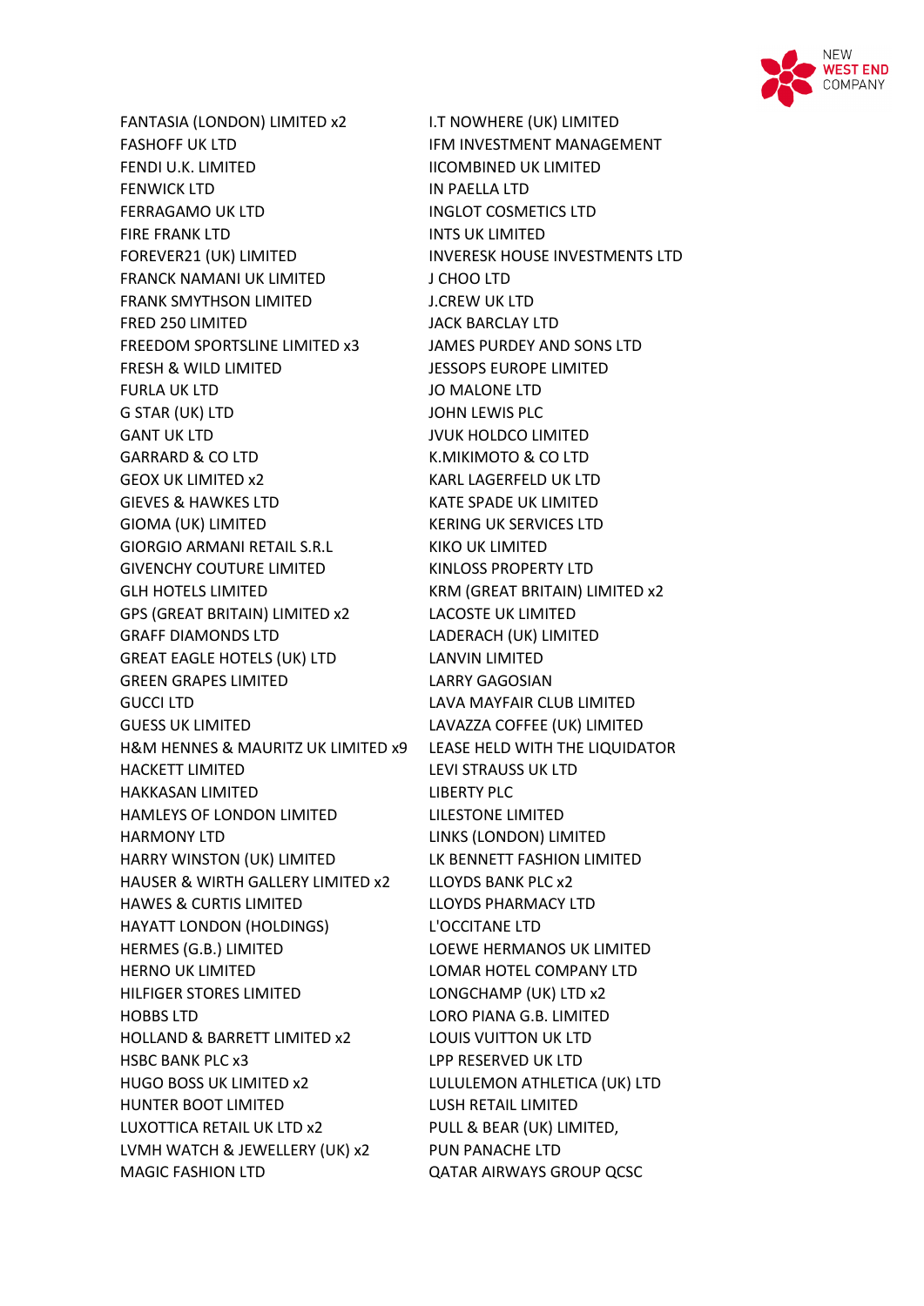

FASHOFF UK LTD **IFM INVESTMENT MANAGEMENT** FENDI U.K. LIMITED IICOMBINED UK LIMITED FENWICK LTD IN PAELLA LTD FERRAGAMO UK LTD INGLOT COSMETICS LTD FIRE FRANK LTD INTS UK LIMITED FOREVER21 (UK) LIMITED INVERESK HOUSE INVESTMENTS LTD FRANCK NAMANI UK LIMITED J CHOO LTD FRANK SMYTHSON LIMITED **J.CREW UK LTD** FRED 250 LIMITED JACK BARCLAY LTD FREEDOM SPORTSLINE LIMITED x3 JAMES PURDEY AND SONS LTD FRESH & WILD LIMITED JESSOPS EUROPE LIMITED FURLA UK LTD JO MALONE LTD G STAR (UK) LTD JOHN LEWIS PLC GANT UK LTD **GANT UK LTD** JVUK HOLDCO LIMITED GARRARD & CO LTD **K.MIKIMOTO & CO LTD** GEOX UK LIMITED x2 KARL LAGERFELD UK LTD GIEVES & HAWKES LTD **KATE SPADE UK LIMITED** GIOMA (UK) LIMITED KERING UK SERVICES LTD GIORGIO ARMANI RETAIL S.R.L KIKO UK LIMITED GIVENCHY COUTURE LIMITED KINLOSS PROPERTY LTD GLH HOTELS LIMITED **KRM (GREAT BRITAIN) LIMITED x2** GPS (GREAT BRITAIN) LIMITED x2 LACOSTE UK LIMITED GRAFF DIAMONDS LTD LADERACH (UK) LIMITED GREAT EAGLE HOTELS (UK) LTD LANVIN LIMITED GREEN GRAPES LIMITED LARRY GAGOSIAN GUCCI LTD **LAVA MAYFAIR CLUB LIMITED** GUESS UK LIMITED LAVAZZA COFFEE (UK) LIMITED H&M HENNES & MAURITZ UK LIMITED x9 LEASE HELD WITH THE LIQUIDATOR HACKETT LIMITED LEVI STRAUSS UK LTD HAKKASAN LIMITED LIBERTY PLC HAMLEYS OF LONDON LIMITED LILESTONE LIMITED HARMONY LTD LINKS (LONDON) LIMITED HARRY WINSTON (UK) LIMITED LK BENNETT FASHION LIMITED HAUSER & WIRTH GALLERY LIMITED x2 LLOYDS BANK PLC x2 HAWES & CURTIS LIMITED LLOYDS PHARMACY LTD HAYATT LONDON (HOLDINGS) L'OCCITANE LTD HERMES (G.B.) LIMITED LOEWE HERMANOS UK LIMITED HERNO UK LIMITED LOMAR HOTEL COMPANY LTD HILFIGER STORES LIMITED LONGCHAMP (UK) LTD x2 HOBBS LTD LORO PIANA G.B. LIMITED HOLLAND & BARRETT LIMITED x2 LOUIS VUITTON UK LTD HSBC BANK PLC x3 LPP RESERVED UK LTD HUGO BOSS UK LIMITED x2 LULULEMON ATHLETICA (UK) LTD HUNTER BOOT LIMITED LUSH RETAIL LIMITED LUXOTTICA RETAIL UK LTD x2 PULL & BEAR (UK) LIMITED, LVMH WATCH & JEWELLERY (UK) x2 PUN PANACHE LTD MAGIC FASHION LTD QATAR AIRWAYS GROUP QCSC

FANTASIA (LONDON) LIMITED x2 I.T NOWHERE (UK) LIMITED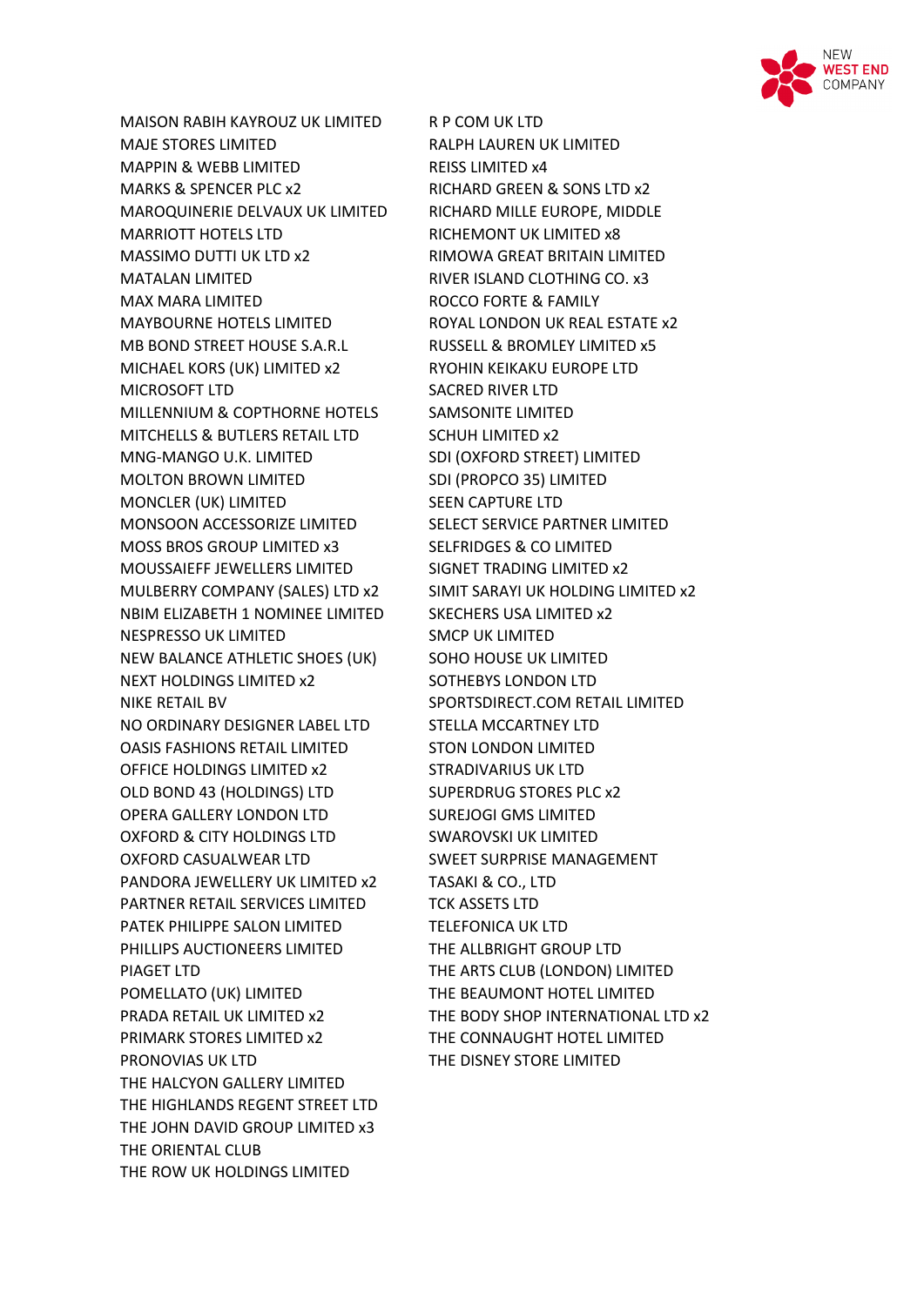

MAISON RABIH KAYROUZ UK LIMITED R P COM UK LTD MAJE STORES LIMITED RALPH LAUREN UK LIMITED MAPPIN & WEBB LIMITED **REISS LIMITED x4** MARKS & SPENCER PLC x2 RICHARD GREEN & SONS LTD x2 MAROQUINERIE DELVAUX UK LIMITED RICHARD MILLE EUROPE, MIDDLE MARRIOTT HOTELS LTD RICHEMONT UK LIMITED x8 MASSIMO DUTTI UK LTD x2 RIMOWA GREAT BRITAIN LIMITED MATALAN LIMITED RIVER ISLAND CLOTHING CO. x3 MAX MARA LIMITED ROCCO FORTE & FAMILY MAYBOURNE HOTELS LIMITED ROYAL LONDON UK REAL ESTATE x2 MB BOND STREET HOUSE S.A.R.L RUSSELL & BROMLEY LIMITED x5 MICHAEL KORS (UK) LIMITED x2 RYOHIN KEIKAKU EUROPE LTD MICROSOFT LTD SACRED RIVER LTD MILLENNIUM & COPTHORNE HOTELS SAMSONITE LIMITED MITCHELLS & BUTLERS RETAIL LTD SCHUH LIMITED x2 MNG-MANGO U.K. LIMITED SDI (OXFORD STREET) LIMITED MOLTON BROWN LIMITED SDI (PROPCO 35) LIMITED MONCLER (UK) LIMITED SEEN CAPTURE LTD MONSOON ACCESSORIZE LIMITED SELECT SERVICE PARTNER LIMITED MOSS BROS GROUP LIMITED x3 SELFRIDGES & CO LIMITED MOUSSAIEFF JEWELLERS LIMITED SIGNET TRADING LIMITED x2 MULBERRY COMPANY (SALES) LTD x2 SIMIT SARAYI UK HOLDING LIMITED x2 NBIM ELIZABETH 1 NOMINEE LIMITED SKECHERS USA LIMITED x2 NESPRESSO UK LIMITED SMCP UK LIMITED NEW BALANCE ATHLETIC SHOES (UK) SOHO HOUSE UK LIMITED NEXT HOLDINGS LIMITED x2 SOTHEBYS LONDON LTD NIKE RETAIL BV SPORTSDIRECT.COM RETAIL LIMITED NO ORDINARY DESIGNER LABEL LTD STELLA MCCARTNEY LTD OASIS FASHIONS RETAIL LIMITED STON LONDON LIMITED OFFICE HOLDINGS LIMITED x2 STRADIVARIUS UK LTD OLD BOND 43 (HOLDINGS) LTD SUPERDRUG STORES PLC x2 OPERA GALLERY LONDON LTD SUREJOGI GMS LIMITED OXFORD & CITY HOLDINGS LTD SWAROVSKI UK LIMITED OXFORD CASUALWEAR LTD SWEET SURPRISE MANAGEMENT PANDORA JEWELLERY UK LIMITED x2 TASAKI & CO., LTD PARTNER RETAIL SERVICES LIMITED TCK ASSETS LTD PATEK PHILIPPE SALON LIMITED TELEFONICA UK LTD PHILLIPS AUCTIONEERS LIMITED THE ALLBRIGHT GROUP LTD PIAGET LTD THE ARTS CLUB (LONDON) LIMITED POMELLATO (UK) LIMITED THE BEAUMONT HOTEL LIMITED PRIMARK STORES LIMITED x2 THE CONNAUGHT HOTEL LIMITED PRONOVIAS UK LTD THE DISNEY STORE LIMITED THE HALCYON GALLERY LIMITED THE HIGHLANDS REGENT STREET LTD THE JOHN DAVID GROUP LIMITED x3 THE ORIENTAL CLUB THE ROW UK HOLDINGS LIMITED

PRADA RETAIL UK LIMITED x2 THE BODY SHOP INTERNATIONAL LTD x2